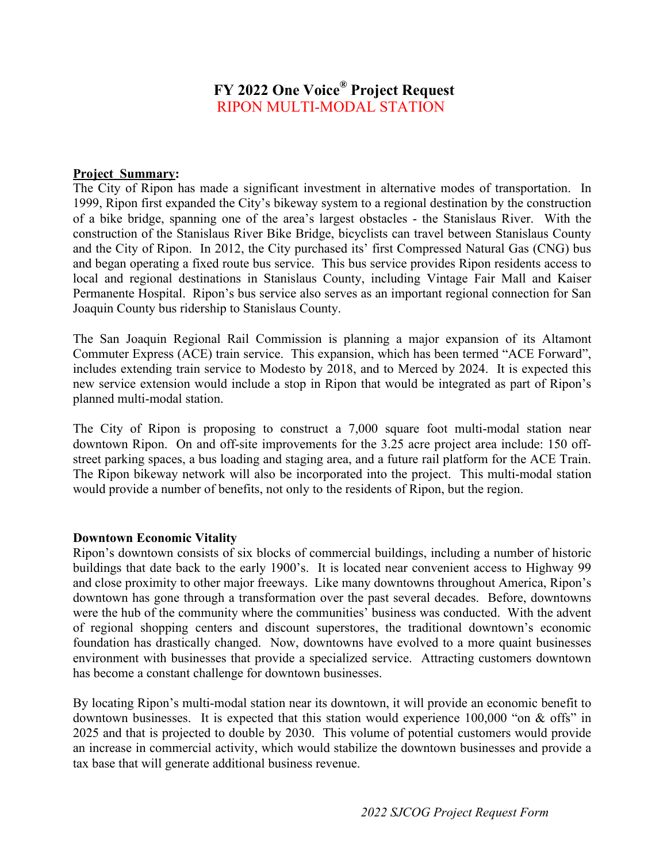# **FY 2022 One Voice® Project Request** RIPON MULTI-MODAL STATION

#### **Project Summary:**

The City of Ripon has made a significant investment in alternative modes of transportation. In 1999, Ripon first expanded the City's bikeway system to a regional destination by the construction of a bike bridge, spanning one of the area's largest obstacles - the Stanislaus River. With the construction of the Stanislaus River Bike Bridge, bicyclists can travel between Stanislaus County and the City of Ripon. In 2012, the City purchased its' first Compressed Natural Gas (CNG) bus and began operating a fixed route bus service. This bus service provides Ripon residents access to local and regional destinations in Stanislaus County, including Vintage Fair Mall and Kaiser Permanente Hospital. Ripon's bus service also serves as an important regional connection for San Joaquin County bus ridership to Stanislaus County.

The San Joaquin Regional Rail Commission is planning a major expansion of its Altamont Commuter Express (ACE) train service. This expansion, which has been termed "ACE Forward", includes extending train service to Modesto by 2018, and to Merced by 2024. It is expected this new service extension would include a stop in Ripon that would be integrated as part of Ripon's planned multi-modal station.

The City of Ripon is proposing to construct a 7,000 square foot multi-modal station near downtown Ripon. On and off-site improvements for the 3.25 acre project area include: 150 offstreet parking spaces, a bus loading and staging area, and a future rail platform for the ACE Train. The Ripon bikeway network will also be incorporated into the project. This multi-modal station would provide a number of benefits, not only to the residents of Ripon, but the region.

## **Downtown Economic Vitality**

Ripon's downtown consists of six blocks of commercial buildings, including a number of historic buildings that date back to the early 1900's. It is located near convenient access to Highway 99 and close proximity to other major freeways. Like many downtowns throughout America, Ripon's downtown has gone through a transformation over the past several decades. Before, downtowns were the hub of the community where the communities' business was conducted. With the advent of regional shopping centers and discount superstores, the traditional downtown's economic foundation has drastically changed. Now, downtowns have evolved to a more quaint businesses environment with businesses that provide a specialized service. Attracting customers downtown has become a constant challenge for downtown businesses.

By locating Ripon's multi-modal station near its downtown, it will provide an economic benefit to downtown businesses. It is expected that this station would experience 100,000 "on & offs" in 2025 and that is projected to double by 2030. This volume of potential customers would provide an increase in commercial activity, which would stabilize the downtown businesses and provide a tax base that will generate additional business revenue.